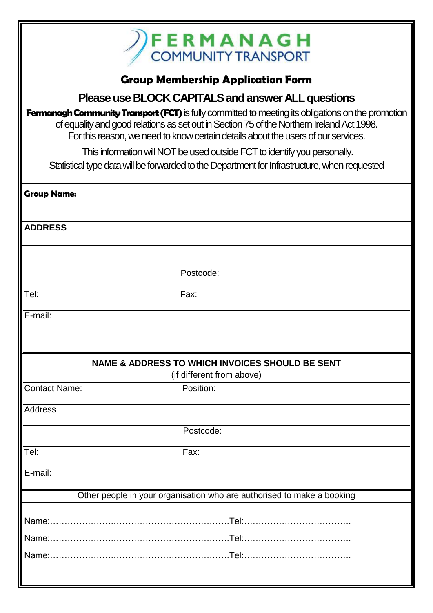

## **Group Membership Application Form**

### **Please use BLOCK CAPITALS and answer ALL questions**

**Fermanagh Community Transport (FCT)** is fully committed to meeting its obligations on the promotion of equality and good relations as set out in Section 75 of the Northern Ireland Act 1998. For this reason, we need to know certain details about the users of our services.

This information will NOT be used outside FCT to identify you personally.

Statistical type data will be forwarded to the Department for Infrastructure, when requested

| <b>Group Name:</b>   |                                                                        |
|----------------------|------------------------------------------------------------------------|
|                      |                                                                        |
| <b>ADDRESS</b>       |                                                                        |
|                      |                                                                        |
|                      |                                                                        |
|                      | Postcode:                                                              |
| Tel:                 | Fax:                                                                   |
| E-mail:              |                                                                        |
|                      |                                                                        |
|                      |                                                                        |
|                      | <b>NAME &amp; ADDRESS TO WHICH INVOICES SHOULD BE SENT</b>             |
|                      | (if different from above)                                              |
| <b>Contact Name:</b> | Position:                                                              |
| <b>Address</b>       |                                                                        |
|                      | Postcode:                                                              |
|                      |                                                                        |
| Tel:                 | Fax:                                                                   |
| $E$ -mail:           |                                                                        |
|                      | Other people in your organisation who are authorised to make a booking |
|                      |                                                                        |
|                      |                                                                        |
|                      |                                                                        |
|                      |                                                                        |
|                      |                                                                        |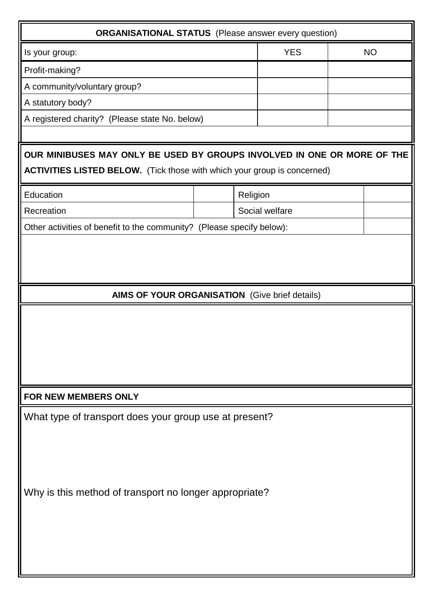| <b>ORGANISATIONAL STATUS</b> (Please answer every question)                                                                                                |  |            |                |  |
|------------------------------------------------------------------------------------------------------------------------------------------------------------|--|------------|----------------|--|
| Is your group:                                                                                                                                             |  | <b>YES</b> | <b>NO</b>      |  |
| Profit-making?                                                                                                                                             |  |            |                |  |
| A community/voluntary group?                                                                                                                               |  |            |                |  |
| A statutory body?                                                                                                                                          |  |            |                |  |
| A registered charity? (Please state No. below)                                                                                                             |  |            |                |  |
|                                                                                                                                                            |  |            |                |  |
| OUR MINIBUSES MAY ONLY BE USED BY GROUPS INVOLVED IN ONE OR MORE OF THE<br><b>ACTIVITIES LISTED BELOW.</b> (Tick those with which your group is concerned) |  |            |                |  |
| Education                                                                                                                                                  |  | Religion   |                |  |
| Recreation                                                                                                                                                 |  |            | Social welfare |  |
| Other activities of benefit to the community? (Please specify below):                                                                                      |  |            |                |  |
| AIMS OF YOUR ORGANISATION (Give brief details)                                                                                                             |  |            |                |  |
|                                                                                                                                                            |  |            |                |  |
| FOR NEW MEMBERS ONLY                                                                                                                                       |  |            |                |  |
| What type of transport does your group use at present?                                                                                                     |  |            |                |  |
| Why is this method of transport no longer appropriate?                                                                                                     |  |            |                |  |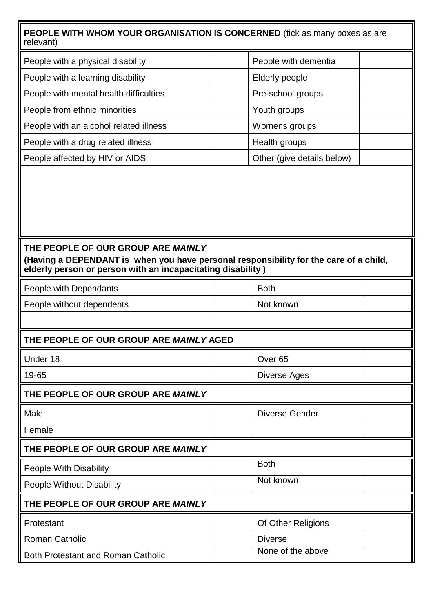#### **PEOPLE WITH WHOM YOUR ORGANISATION IS CONCERNED** (tick as many boxes as are relevant)

| People with a physical disability      | People with dementia       |  |
|----------------------------------------|----------------------------|--|
| People with a learning disability      | Elderly people             |  |
| People with mental health difficulties | Pre-school groups          |  |
| People from ethnic minorities          | Youth groups               |  |
| People with an alcohol related illness | Womens groups              |  |
| People with a drug related illness     | Health groups              |  |
| People affected by HIV or AIDS         | Other (give details below) |  |

#### **THE PEOPLE OF OUR GROUP ARE** *MAINLY*

**(Having a DEPENDANT is when you have personal responsibility for the care of a child, elderly person or person with an incapacitating disability )**

| People with Dependants    | <b>Both</b> |  |
|---------------------------|-------------|--|
| People without dependents | Not known   |  |

#### **THE PEOPLE OF OUR GROUP ARE** *MAINLY* **AGED**

| Under 18                            |  | Over <sub>65</sub> |  |
|-------------------------------------|--|--------------------|--|
| 19-65                               |  | Diverse Ages       |  |
| THE BEADLE AF AUD ADAID ADE MAINILY |  |                    |  |

#### **TOUR GROUP ARE** *MAINL***Y**

| Male                                      | <b>Diverse Gender</b> |  |
|-------------------------------------------|-----------------------|--|
| Female                                    |                       |  |
| THE PEOPLE OF OUR GROUP ARE MAINLY        |                       |  |
| People With Disability                    | <b>Both</b>           |  |
| <b>People Without Disability</b>          | Not known             |  |
| THE PEOPLE OF OUR GROUP ARE MAINLY        |                       |  |
| Protestant                                | Of Other Religions    |  |
| <b>Roman Catholic</b>                     | <b>Diverse</b>        |  |
| <b>Both Protestant and Roman Catholic</b> | None of the above     |  |